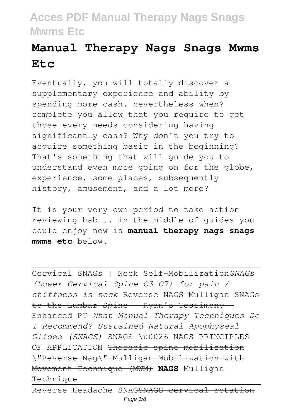# **Manual Therapy Nags Snags Mwms Etc**

Eventually, you will totally discover a supplementary experience and ability by spending more cash. nevertheless when? complete you allow that you require to get those every needs considering having significantly cash? Why don't you try to acquire something basic in the beginning? That's something that will guide you to understand even more going on for the globe, experience, some places, subsequently history, amusement, and a lot more?

It is your very own period to take action reviewing habit. in the middle of guides you could enjoy now is **manual therapy nags snags mwms etc** below.

Cervical SNAGs | Neck Self-Mobilization*SNAGs (Lower Cervical Spine C3-C7) for pain / stiffness in neck* Reverse NAGS Mulligan SNAGs to the Lumbar Spine - Ryan's Testimony Enhanced PT *What Manual Therapy Techniques Do I Recommend? Sustained Natural Apophyseal Glides (SNAGS)* SNAGS \u0026 NAGS PRINCIPLES OF APPLICATION Thoracic spine mobilization \"Reverse Nag\" Mulligan Mobilization with Movement Technique (MWM) **NAGS** Mulligan Technique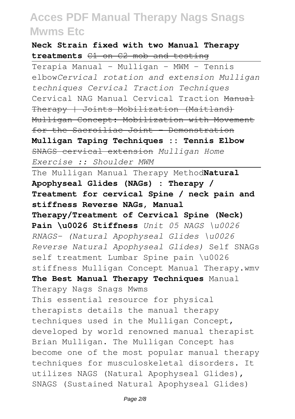**Neck Strain fixed with two Manual Therapy treatments** C1 on C2 mob and testing

Terapia Manual - Mulligan - MWM - Tennis elbow*Cervical rotation and extension Mulligan techniques Cervical Traction Techniques* Cervical NAG Manual Cervical Traction Manual Therapy | Joints Mobilization (Maitland) Mulligan Concept: Mobilization with Movement for the Sacroiliac Joint - Demonstration **Mulligan Taping Techniques :: Tennis Elbow** SNAGS cervical extension *Mulligan Home Exercise :: Shoulder MWM* The Mulligan Manual Therapy Method**Natural Apophyseal Glides (NAGs) : Therapy / Treatment for cervical Spine / neck pain and stiffness Reverse NAGs, Manual Therapy/Treatment of Cervical Spine (Neck) Pain \u0026 Stiffness** *Unit 05 NAGS \u0026 RNAGS- (Natural Apophyseal Glides \u0026 Reverse Natural Apophyseal Glides)* Self SNAGs self treatment Lumbar Spine pain \u0026 stiffness Mulligan Concept Manual Therapy.wmv **The Best Manual Therapy Techniques** Manual Therapy Nags Snags Mwms This essential resource for physical therapists details the manual therapy techniques used in the Mulligan Concept, developed by world renowned manual therapist Brian Mulligan. The Mulligan Concept has become one of the most popular manual therapy techniques for musculoskeletal disorders. It utilizes NAGS (Natural Apophyseal Glides), SNAGS (Sustained Natural Apophyseal Glides)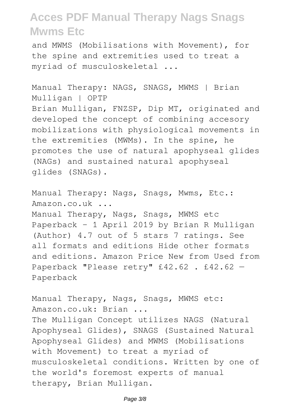and MWMS (Mobilisations with Movement), for the spine and extremities used to treat a myriad of musculoskeletal ...

Manual Therapy: NAGS, SNAGS, MWMS | Brian Mulligan | OPTP Brian Mulligan, FNZSP, Dip MT, originated and developed the concept of combining accesory mobilizations with physiological movements in the extremities (MWMs). In the spine, he promotes the use of natural apophyseal glides (NAGs) and sustained natural apophyseal glides (SNAGs).

Manual Therapy: Nags, Snags, Mwms, Etc.: Amazon.co.uk ... Manual Therapy, Nags, Snags, MWMS etc Paperback – 1 April 2019 by Brian R Mulligan (Author) 4.7 out of 5 stars 7 ratings. See all formats and editions Hide other formats and editions. Amazon Price New from Used from Paperback "Please retry" £42.62 . £42.62 -Paperback

Manual Therapy, Nags, Snags, MWMS etc: Amazon.co.uk: Brian ... The Mulligan Concept utilizes NAGS (Natural Apophyseal Glides), SNAGS (Sustained Natural Apophyseal Glides) and MWMS (Mobilisations with Movement) to treat a myriad of musculoskeletal conditions. Written by one of the world's foremost experts of manual therapy, Brian Mulligan.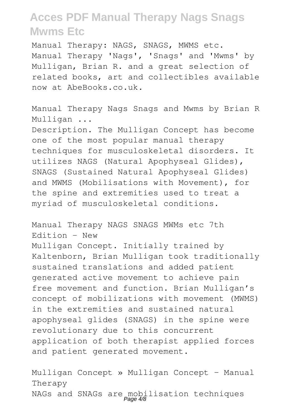Manual Therapy: NAGS, SNAGS, MWMS etc. Manual Therapy 'Nags', 'Snags' and 'Mwms' by Mulligan, Brian R. and a great selection of related books, art and collectibles available now at AbeBooks.co.uk.

Manual Therapy Nags Snags and Mwms by Brian R Mulligan ...

Description. The Mulligan Concept has become one of the most popular manual therapy techniques for musculoskeletal disorders. It utilizes NAGS (Natural Apophyseal Glides), SNAGS (Sustained Natural Apophyseal Glides) and MWMS (Mobilisations with Movement), for the spine and extremities used to treat a myriad of musculoskeletal conditions.

Manual Therapy NAGS SNAGS MWMs etc 7th Edition - New Mulligan Concept. Initially trained by Kaltenborn, Brian Mulligan took traditionally sustained translations and added patient generated active movement to achieve pain free movement and function. Brian Mulligan's concept of mobilizations with movement (MWMS) in the extremities and sustained natural apophyseal glides (SNAGS) in the spine were revolutionary due to this concurrent application of both therapist applied forces and patient generated movement.

Mulligan Concept » Mulligan Concept - Manual Therapy NAGs and SNAGs are mobilisation techniques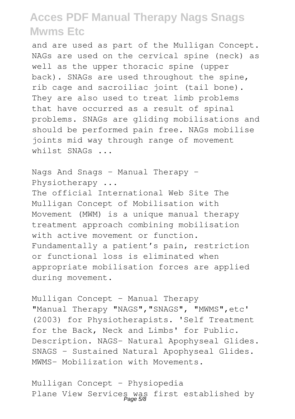and are used as part of the Mulligan Concept. NAGs are used on the cervical spine (neck) as well as the upper thoracic spine (upper back). SNAGs are used throughout the spine, rib cage and sacroiliac joint (tail bone). They are also used to treat limb problems that have occurred as a result of spinal problems. SNAGs are gliding mobilisations and should be performed pain free. NAGs mobilise joints mid way through range of movement whilst SNAGs ...

Nags And Snags - Manual Therapy - Physiotherapy ...

The official International Web Site The Mulligan Concept of Mobilisation with Movement (MWM) is a unique manual therapy treatment approach combining mobilisation with active movement or function. Fundamentally a patient's pain, restriction or functional loss is eliminated when appropriate mobilisation forces are applied during movement.

Mulligan Concept - Manual Therapy "Manual Therapy "NAGS", "SNAGS", "MWMS", etc' (2003) for Physiotherapists. 'Self Treatment for the Back, Neck and Limbs' for Public. Description. NAGS- Natural Apophyseal Glides. SNAGS - Sustained Natural Apophyseal Glides. MWMS- Mobilization with Movements.

Mulligan Concept - Physiopedia Plane View Services was first established by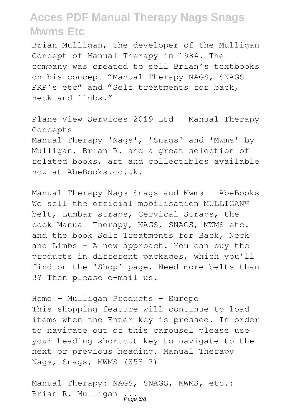Brian Mulligan, the developer of the Mulligan Concept of Manual Therapy in 1984. The company was created to sell Brian's textbooks on his concept "Manual Therapy NAGS, SNAGS PRP's etc" and "Self treatments for back, neck and limbs."

Plane View Services 2019 Ltd | Manual Therapy Concepts Manual Therapy 'Nags', 'Snags' and 'Mwms' by Mulligan, Brian R. and a great selection of related books, art and collectibles available now at AbeBooks.co.uk.

Manual Therapy Nags Snags and Mwms - AbeBooks We sell the official mobilisation MULLIGAN™ belt, Lumbar straps, Cervical Straps, the book Manual Therapy, NAGS, SNAGS, MWMS etc. and the book Self Treatments for Back, Neck and Limbs – A new approach. You can buy the products in different packages, which you'll find on the 'Shop' page. Need more belts than 3? Then please e-mail us.

Home - Mulligan Products - Europe This shopping feature will continue to load items when the Enter key is pressed. In order to navigate out of this carousel please use your heading shortcut key to navigate to the next or previous heading. Manual Therapy Nags, Snags, MWMS (853-7)

Manual Therapy: NAGS, SNAGS, MWMS, etc.: Brian R. Mulligan  $P$ age 6/8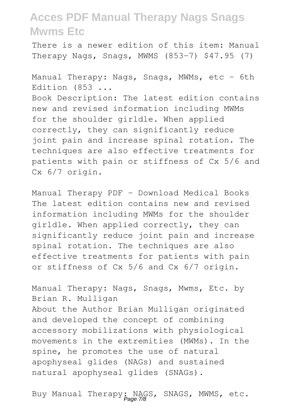There is a newer edition of this item: Manual Therapy Nags, Snags, MWMS (853-7) \$47.95 (7)

Manual Therapy: Nags, Snags, MWMs, etc - 6th Edition (853 ... Book Description: The latest edition contains new and revised information including MWMs for the shoulder girldle. When applied correctly, they can significantly reduce joint pain and increase spinal rotation. The techniques are also effective treatments for patients with pain or stiffness of Cx 5/6 and Cx 6/7 origin.

Manual Therapy PDF - Download Medical Books The latest edition contains new and revised information including MWMs for the shoulder girldle. When applied correctly, they can significantly reduce joint pain and increase spinal rotation. The techniques are also effective treatments for patients with pain or stiffness of Cx 5/6 and Cx 6/7 origin.

Manual Therapy: Nags, Snags, Mwms, Etc. by Brian R. Mulligan About the Author Brian Mulligan originated and developed the concept of combining accessory mobilizations with physiological movements in the extremities (MWMs). In the spine, he promotes the use of natural apophyseal glides (NAGs) and sustained natural apophyseal glides (SNAGs).

Buy Manual Therapy: NAGS, SNAGS, MWMS, etc.